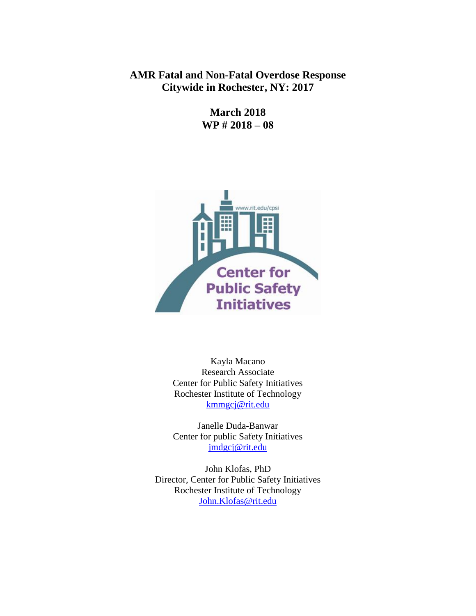# **AMR Fatal and Non-Fatal Overdose Response Citywide in Rochester, NY: 2017**

**March 2018 WP # 2018 – 08**



Kayla Macano Research Associate Center for Public Safety Initiatives Rochester Institute of Technology [kmmgcj@rit.edu](mailto:kmmgcj@rit.edu)

Janelle Duda-Banwar Center for public Safety Initiatives [jmdgcj@rit.edu](mailto:jmdgcj@rit.edu)

John Klofas, PhD Director, Center for Public Safety Initiatives Rochester Institute of Technology [John.Klofas@rit.edu](mailto:John.Klofas@rit.edu)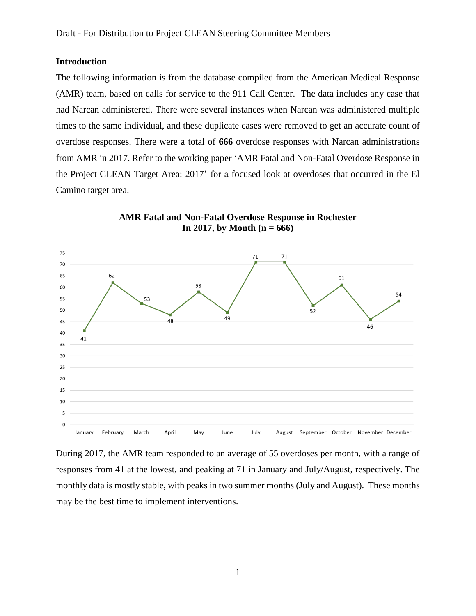### **Introduction**

The following information is from the database compiled from the American Medical Response (AMR) team, based on calls for service to the 911 Call Center. The data includes any case that had Narcan administered. There were several instances when Narcan was administered multiple times to the same individual, and these duplicate cases were removed to get an accurate count of overdose responses. There were a total of **666** overdose responses with Narcan administrations from AMR in 2017. Refer to the working paper 'AMR Fatal and Non-Fatal Overdose Response in the Project CLEAN Target Area: 2017' for a focused look at overdoses that occurred in the El Camino target area.



**AMR Fatal and Non-Fatal Overdose Response in Rochester In 2017, by Month (n = 666)**

During 2017, the AMR team responded to an average of 55 overdoses per month, with a range of responses from 41 at the lowest, and peaking at 71 in January and July/August, respectively. The monthly data is mostly stable, with peaks in two summer months (July and August). These months may be the best time to implement interventions.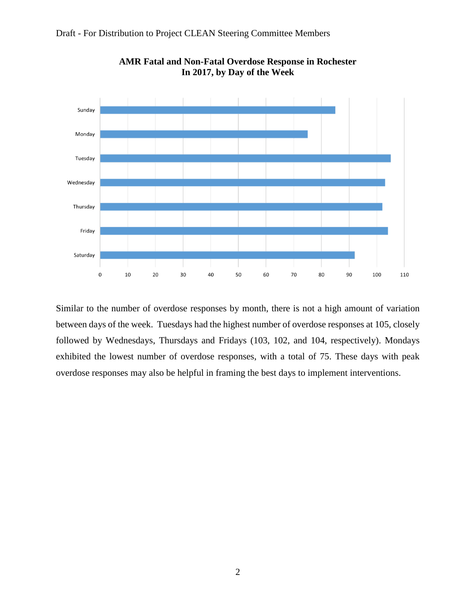



**AMR Fatal and Non-Fatal Overdose Response in Rochester In 2017, by Day of the Week**

Similar to the number of overdose responses by month, there is not a high amount of variation between days of the week. Tuesdays had the highest number of overdose responses at 105, closely followed by Wednesdays, Thursdays and Fridays (103, 102, and 104, respectively). Mondays exhibited the lowest number of overdose responses, with a total of 75. These days with peak overdose responses may also be helpful in framing the best days to implement interventions.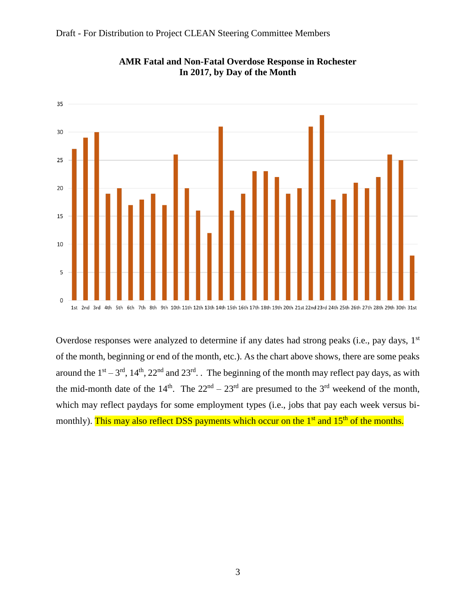



**AMR Fatal and Non-Fatal Overdose Response in Rochester In 2017, by Day of the Month**

Overdose responses were analyzed to determine if any dates had strong peaks (i.e., pay days, 1<sup>st</sup>) of the month, beginning or end of the month, etc.). As the chart above shows, there are some peaks around the  $1<sup>st</sup> - 3<sup>rd</sup>$ ,  $14<sup>th</sup>$ ,  $22<sup>nd</sup>$  and  $23<sup>rd</sup>$ . The beginning of the month may reflect pay days, as with the mid-month date of the  $14<sup>th</sup>$ . The  $22<sup>nd</sup> - 23<sup>rd</sup>$  are presumed to the 3<sup>rd</sup> weekend of the month, which may reflect paydays for some employment types (i.e., jobs that pay each week versus bimonthly). This may also reflect DSS payments which occur on the 1<sup>st</sup> and 15<sup>th</sup> of the months.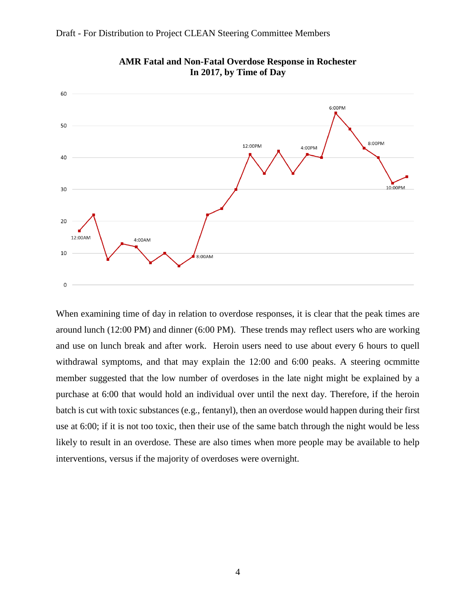

When examining time of day in relation to overdose responses, it is clear that the peak times are around lunch (12:00 PM) and dinner (6:00 PM). These trends may reflect users who are working and use on lunch break and after work. Heroin users need to use about every 6 hours to quell withdrawal symptoms, and that may explain the 12:00 and 6:00 peaks. A steering ocmmitte member suggested that the low number of overdoses in the late night might be explained by a purchase at 6:00 that would hold an individual over until the next day. Therefore, if the heroin batch is cut with toxic substances (e.g., fentanyl), then an overdose would happen during their first use at 6:00; if it is not too toxic, then their use of the same batch through the night would be less likely to result in an overdose. These are also times when more people may be available to help interventions, versus if the majority of overdoses were overnight.

**AMR Fatal and Non-Fatal Overdose Response in Rochester In 2017, by Time of Day**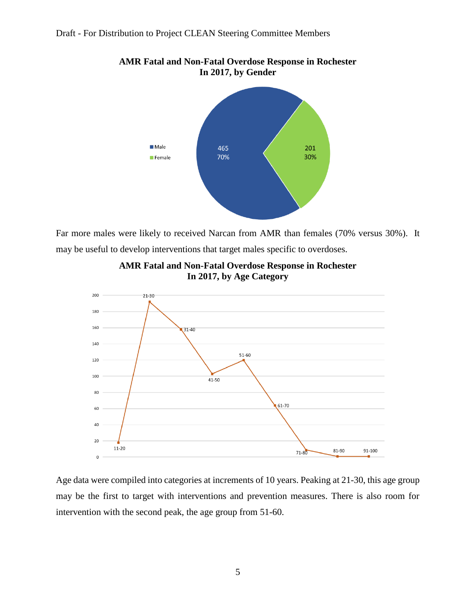

**AMR Fatal and Non-Fatal Overdose Response in Rochester In 2017, by Gender**

Far more males were likely to received Narcan from AMR than females (70% versus 30%). It may be useful to develop interventions that target males specific to overdoses.



**AMR Fatal and Non-Fatal Overdose Response in Rochester In 2017, by Age Category**

Age data were compiled into categories at increments of 10 years. Peaking at 21-30, this age group may be the first to target with interventions and prevention measures. There is also room for intervention with the second peak, the age group from 51-60.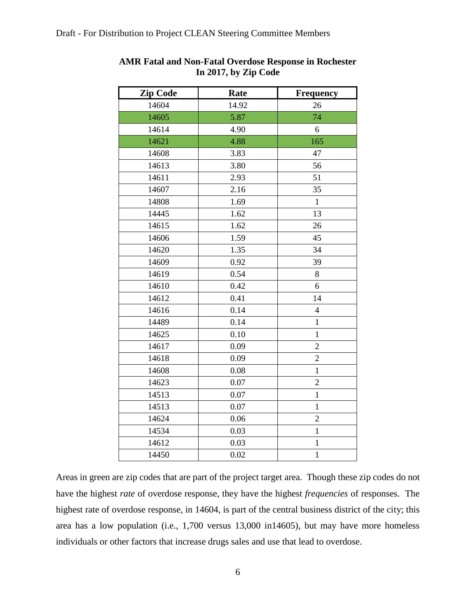| <b>Zip Code</b> | Rate  | <b>Frequency</b> |
|-----------------|-------|------------------|
| 14604           | 14.92 | 26               |
| 14605           | 5.87  | 74               |
| 14614           | 4.90  | 6                |
| 14621           | 4.88  | 165              |
| 14608           | 3.83  | 47               |
| 14613           | 3.80  | 56               |
| 14611           | 2.93  | 51               |
| 14607           | 2.16  | 35               |
| 14808           | 1.69  | $\mathbf{1}$     |
| 14445           | 1.62  | 13               |
| 14615           | 1.62  | 26               |
| 14606           | 1.59  | 45               |
| 14620           | 1.35  | 34               |
| 14609           | 0.92  | 39               |
| 14619           | 0.54  | 8                |
| 14610           | 0.42  | 6                |
| 14612           | 0.41  | 14               |
| 14616           | 0.14  | $\overline{4}$   |
| 14489           | 0.14  | $\mathbf{1}$     |
| 14625           | 0.10  | $\mathbf{1}$     |
| 14617           | 0.09  | $\overline{c}$   |
| 14618           | 0.09  | $\overline{c}$   |
| 14608           | 0.08  | $\mathbf{1}$     |
| 14623           | 0.07  | $\overline{c}$   |
| 14513           | 0.07  | $\mathbf{1}$     |
| 14513           | 0.07  | $\mathbf{1}$     |
| 14624           | 0.06  | $\overline{c}$   |
| 14534           | 0.03  | $\mathbf{1}$     |
| 14612           | 0.03  | $\mathbf{1}$     |
| 14450           | 0.02  | $\mathbf{1}$     |

## **AMR Fatal and Non-Fatal Overdose Response in Rochester In 2017, by Zip Code**

Areas in green are zip codes that are part of the project target area. Though these zip codes do not have the highest *rate* of overdose response, they have the highest *frequencies* of responses. The highest rate of overdose response, in 14604, is part of the central business district of the city; this area has a low population (i.e., 1,700 versus 13,000 in14605), but may have more homeless individuals or other factors that increase drugs sales and use that lead to overdose.